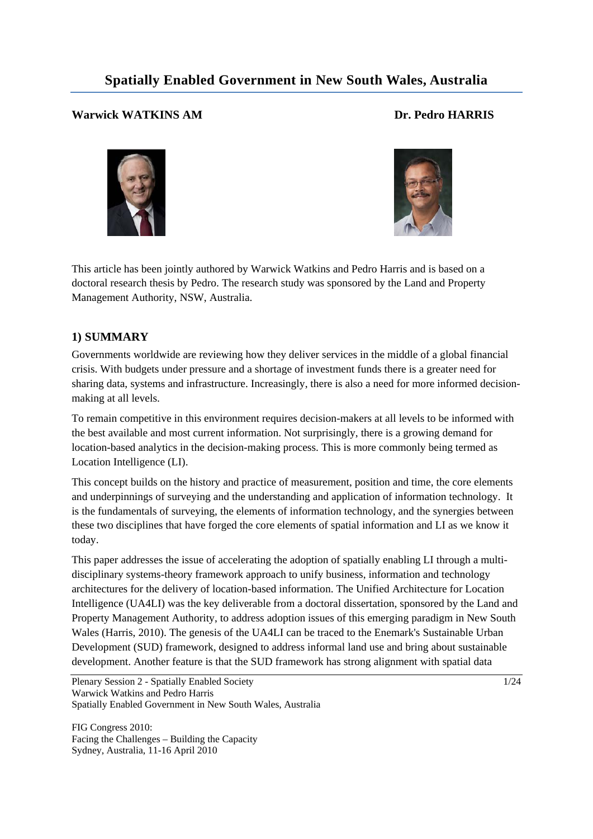# **Spatially Enabled Government in New South Wales, Australia**

## **Warwick WATKINS AM Dr. Pedro HARRIS**





This article has been jointly authored by Warwick Watkins and Pedro Harris and is based on a doctoral research thesis by Pedro. The research study was sponsored by the Land and Property Management Authority, NSW, Australia.

## **1) SUMMARY**

Governments worldwide are reviewing how they deliver services in the middle of a global financial crisis. With budgets under pressure and a shortage of investment funds there is a greater need for sharing data, systems and infrastructure. Increasingly, there is also a need for more informed decisionmaking at all levels.

To remain competitive in this environment requires decision-makers at all levels to be informed with the best available and most current information. Not surprisingly, there is a growing demand for location-based analytics in the decision-making process. This is more commonly being termed as Location Intelligence (LI).

This concept builds on the history and practice of measurement, position and time, the core elements and underpinnings of surveying and the understanding and application of information technology. It is the fundamentals of surveying, the elements of information technology, and the synergies between these two disciplines that have forged the core elements of spatial information and LI as we know it today.

This paper addresses the issue of accelerating the adoption of spatially enabling LI through a multidisciplinary systems-theory framework approach to unify business, information and technology architectures for the delivery of location-based information. The Unified Architecture for Location Intelligence (UA4LI) was the key deliverable from a doctoral dissertation, sponsored by the Land and Property Management Authority, to address adoption issues of this emerging paradigm in New South Wales (Harris, 2010). The genesis of the UA4LI can be traced to the Enemark's Sustainable Urban Development (SUD) framework, designed to address informal land use and bring about sustainable development. Another feature is that the SUD framework has strong alignment with spatial data

Plenary Session 2 - Spatially Enabled Society 1/24 Warwick Watkins and Pedro Harris Spatially Enabled Government in New South Wales, Australia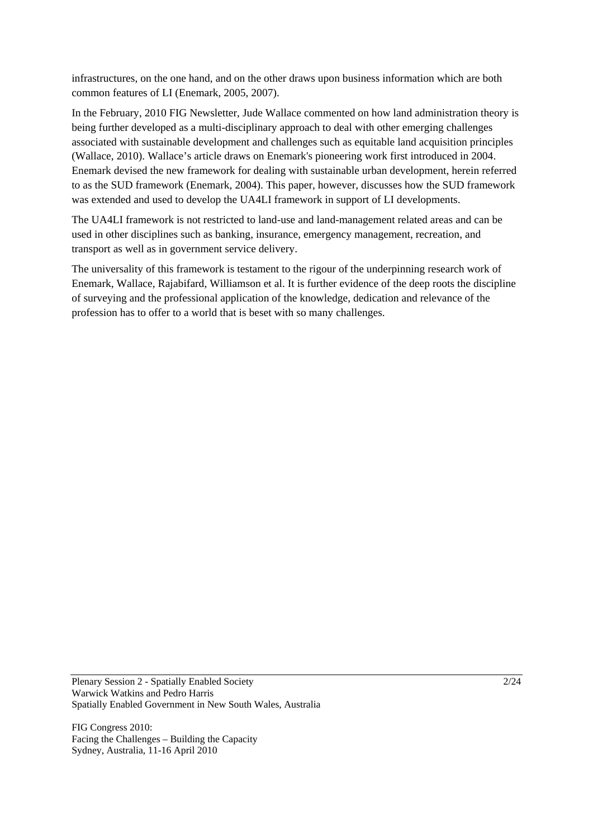infrastructures, on the one hand, and on the other draws upon business information which are both common features of LI (Enemark, 2005, 2007).

In the February, 2010 FIG Newsletter, Jude Wallace commented on how land administration theory is being further developed as a multi-disciplinary approach to deal with other emerging challenges associated with sustainable development and challenges such as equitable land acquisition principles (Wallace, 2010). Wallace's article draws on Enemark's pioneering work first introduced in 2004. Enemark devised the new framework for dealing with sustainable urban development, herein referred to as the SUD framework (Enemark, 2004). This paper, however, discusses how the SUD framework was extended and used to develop the UA4LI framework in support of LI developments.

The UA4LI framework is not restricted to land-use and land-management related areas and can be used in other disciplines such as banking, insurance, emergency management, recreation, and transport as well as in government service delivery.

The universality of this framework is testament to the rigour of the underpinning research work of Enemark, Wallace, Rajabifard, Williamson et al. It is further evidence of the deep roots the discipline of surveying and the professional application of the knowledge, dedication and relevance of the profession has to offer to a world that is beset with so many challenges.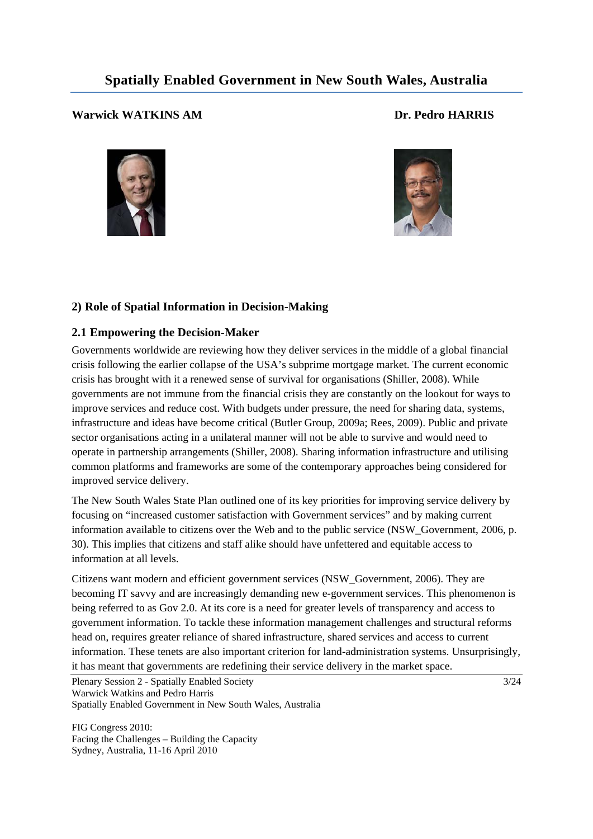# **Spatially Enabled Government in New South Wales, Australia**

## **Warwick WATKINS AM Dr. Pedro HARRIS**





## **2) Role of Spatial Information in Decision-Making**

## **2.1 Empowering the Decision-Maker**

Governments worldwide are reviewing how they deliver services in the middle of a global financial crisis following the earlier collapse of the USA's subprime mortgage market. The current economic crisis has brought with it a renewed sense of survival for organisations (Shiller, 2008). While governments are not immune from the financial crisis they are constantly on the lookout for ways to improve services and reduce cost. With budgets under pressure, the need for sharing data, systems, infrastructure and ideas have become critical (Butler Group, 2009a; Rees, 2009). Public and private sector organisations acting in a unilateral manner will not be able to survive and would need to operate in partnership arrangements (Shiller, 2008). Sharing information infrastructure and utilising common platforms and frameworks are some of the contemporary approaches being considered for improved service delivery.

The New South Wales State Plan outlined one of its key priorities for improving service delivery by focusing on "increased customer satisfaction with Government services" and by making current information available to citizens over the Web and to the public service (NSW\_Government, 2006, p. 30). This implies that citizens and staff alike should have unfettered and equitable access to information at all levels.

Citizens want modern and efficient government services (NSW\_Government, 2006). They are becoming IT savvy and are increasingly demanding new e-government services. This phenomenon is being referred to as Gov 2.0. At its core is a need for greater levels of transparency and access to government information. To tackle these information management challenges and structural reforms head on, requires greater reliance of shared infrastructure, shared services and access to current information. These tenets are also important criterion for land-administration systems. Unsurprisingly, it has meant that governments are redefining their service delivery in the market space.

Plenary Session 2 - Spatially Enabled Society 3/24 Warwick Watkins and Pedro Harris Spatially Enabled Government in New South Wales, Australia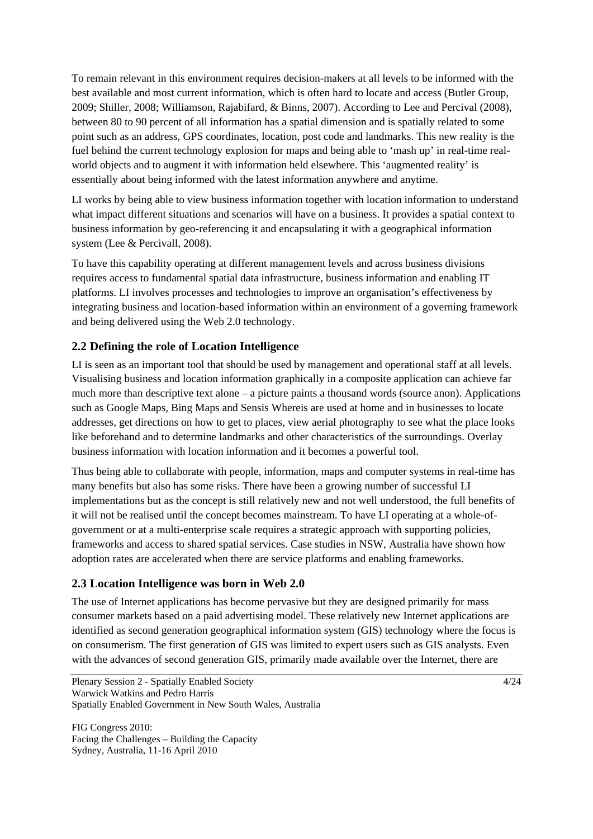To remain relevant in this environment requires decision-makers at all levels to be informed with the best available and most current information, which is often hard to locate and access (Butler Group, 2009; Shiller, 2008; Williamson, Rajabifard, & Binns, 2007). According to Lee and Percival (2008), between 80 to 90 percent of all information has a spatial dimension and is spatially related to some point such as an address, GPS coordinates, location, post code and landmarks. This new reality is the fuel behind the current technology explosion for maps and being able to 'mash up' in real-time realworld objects and to augment it with information held elsewhere. This 'augmented reality' is essentially about being informed with the latest information anywhere and anytime.

LI works by being able to view business information together with location information to understand what impact different situations and scenarios will have on a business. It provides a spatial context to business information by geo-referencing it and encapsulating it with a geographical information system (Lee & Percivall, 2008).

To have this capability operating at different management levels and across business divisions requires access to fundamental spatial data infrastructure, business information and enabling IT platforms. LI involves processes and technologies to improve an organisation's effectiveness by integrating business and location-based information within an environment of a governing framework and being delivered using the Web 2.0 technology.

## **2.2 Defining the role of Location Intelligence**

LI is seen as an important tool that should be used by management and operational staff at all levels. Visualising business and location information graphically in a composite application can achieve far much more than descriptive text alone – a picture paints a thousand words (source anon). Applications such as Google Maps, Bing Maps and Sensis Whereis are used at home and in businesses to locate addresses, get directions on how to get to places, view aerial photography to see what the place looks like beforehand and to determine landmarks and other characteristics of the surroundings. Overlay business information with location information and it becomes a powerful tool.

Thus being able to collaborate with people, information, maps and computer systems in real-time has many benefits but also has some risks. There have been a growing number of successful LI implementations but as the concept is still relatively new and not well understood, the full benefits of it will not be realised until the concept becomes mainstream. To have LI operating at a whole-ofgovernment or at a multi-enterprise scale requires a strategic approach with supporting policies, frameworks and access to shared spatial services. Case studies in NSW, Australia have shown how adoption rates are accelerated when there are service platforms and enabling frameworks.

### **2.3 Location Intelligence was born in Web 2.0**

The use of Internet applications has become pervasive but they are designed primarily for mass consumer markets based on a paid advertising model. These relatively new Internet applications are identified as second generation geographical information system (GIS) technology where the focus is on consumerism. The first generation of GIS was limited to expert users such as GIS analysts. Even with the advances of second generation GIS, primarily made available over the Internet, there are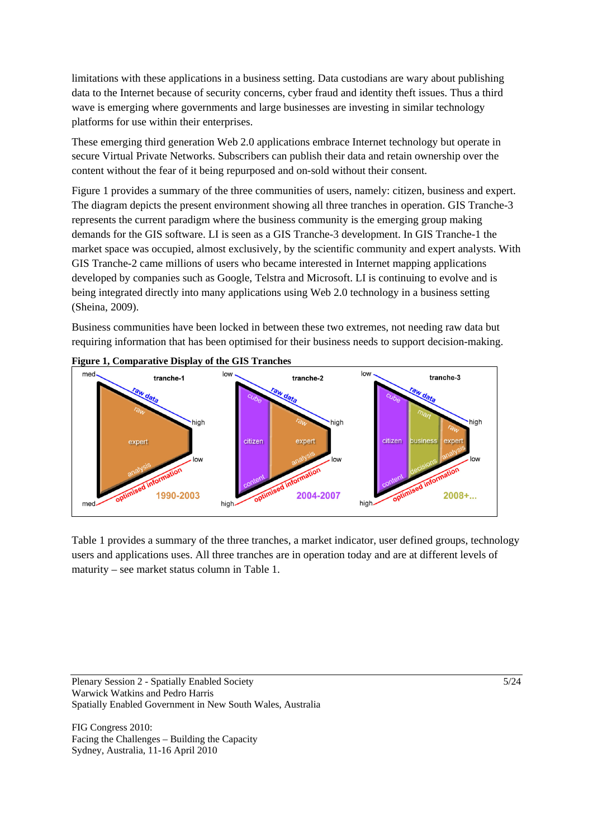limitations with these applications in a business setting. Data custodians are wary about publishing data to the Internet because of security concerns, cyber fraud and identity theft issues. Thus a third wave is emerging where governments and large businesses are investing in similar technology platforms for use within their enterprises.

These emerging third generation Web 2.0 applications embrace Internet technology but operate in secure Virtual Private Networks. Subscribers can publish their data and retain ownership over the content without the fear of it being repurposed and on-sold without their consent.

Figure 1 provides a summary of the three communities of users, namely: citizen, business and expert. The diagram depicts the present environment showing all three tranches in operation. GIS Tranche-3 represents the current paradigm where the business community is the emerging group making demands for the GIS software. LI is seen as a GIS Tranche-3 development. In GIS Tranche-1 the market space was occupied, almost exclusively, by the scientific community and expert analysts. With GIS Tranche-2 came millions of users who became interested in Internet mapping applications developed by companies such as Google, Telstra and Microsoft. LI is continuing to evolve and is being integrated directly into many applications using Web 2.0 technology in a business setting (Sheina, 2009).

Business communities have been locked in between these two extremes, not needing raw data but requiring information that has been optimised for their business needs to support decision-making.



**Figure 1, Comparative Display of the GIS Tranches** 

Table 1 provides a summary of the three tranches, a market indicator, user defined groups, technology users and applications uses. All three tranches are in operation today and are at different levels of maturity – see market status column in Table 1.

Plenary Session 2 - Spatially Enabled Society 5/24 Warwick Watkins and Pedro Harris Spatially Enabled Government in New South Wales, Australia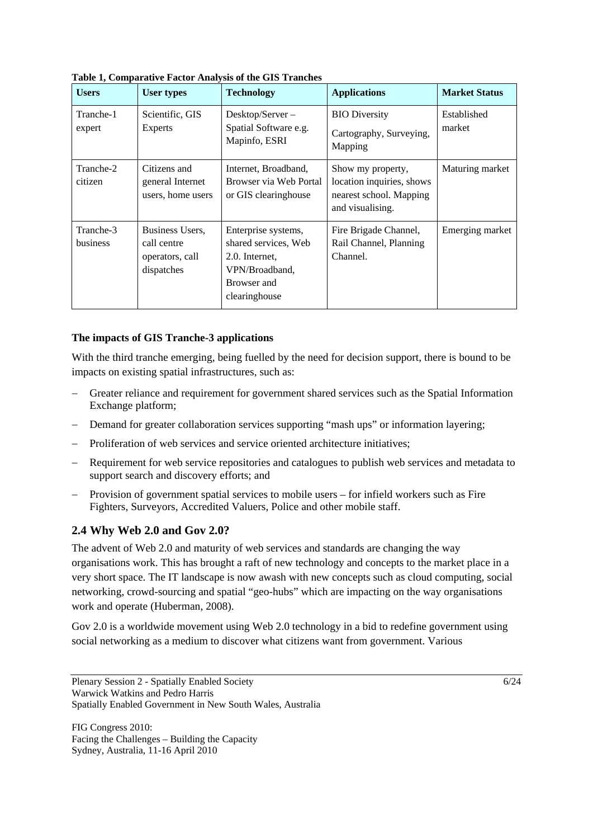| <b>Users</b>                 | <b>User types</b>                                               | <b>Technology</b>                                                                                               | <b>Applications</b>                                                                           | <b>Market Status</b>  |
|------------------------------|-----------------------------------------------------------------|-----------------------------------------------------------------------------------------------------------------|-----------------------------------------------------------------------------------------------|-----------------------|
| Tranche-1<br>expert          | Scientific, GIS<br><b>Experts</b>                               | Desktop/Server-<br>Spatial Software e.g.<br>Mapinfo, ESRI                                                       | <b>BIO</b> Diversity<br>Cartography, Surveying,<br>Mapping                                    | Established<br>market |
| Tranche-2<br>citizen         | Citizens and<br>general Internet<br>users, home users           | Internet, Broadband,<br>Browser via Web Portal<br>or GIS clearinghouse                                          | Show my property,<br>location inquiries, shows<br>nearest school. Mapping<br>and visualising. | Maturing market       |
| Tranche-3<br><b>business</b> | Business Users,<br>call centre<br>operators, call<br>dispatches | Enterprise systems,<br>shared services, Web<br>2.0. Internet,<br>VPN/Broadband,<br>Browser and<br>clearinghouse | Fire Brigade Channel,<br>Rail Channel, Planning<br>Channel.                                   | Emerging market       |

**Table 1, Comparative Factor Analysis of the GIS Tranches** 

#### **The impacts of GIS Tranche-3 applications**

With the third tranche emerging, being fuelled by the need for decision support, there is bound to be impacts on existing spatial infrastructures, such as:

- Greater reliance and requirement for government shared services such as the Spatial Information Exchange platform;
- Demand for greater collaboration services supporting "mash ups" or information layering;
- Proliferation of web services and service oriented architecture initiatives;
- Requirement for web service repositories and catalogues to publish web services and metadata to support search and discovery efforts; and
- Provision of government spatial services to mobile users for infield workers such as Fire Fighters, Surveyors, Accredited Valuers, Police and other mobile staff.

## **2.4 Why Web 2.0 and Gov 2.0?**

The advent of Web 2.0 and maturity of web services and standards are changing the way organisations work. This has brought a raft of new technology and concepts to the market place in a very short space. The IT landscape is now awash with new concepts such as cloud computing, social networking, crowd-sourcing and spatial "geo-hubs" which are impacting on the way organisations work and operate (Huberman, 2008).

Gov 2.0 is a worldwide movement using Web 2.0 technology in a bid to redefine government using social networking as a medium to discover what citizens want from government. Various

Plenary Session 2 - Spatially Enabled Society 6/24 Warwick Watkins and Pedro Harris Spatially Enabled Government in New South Wales, Australia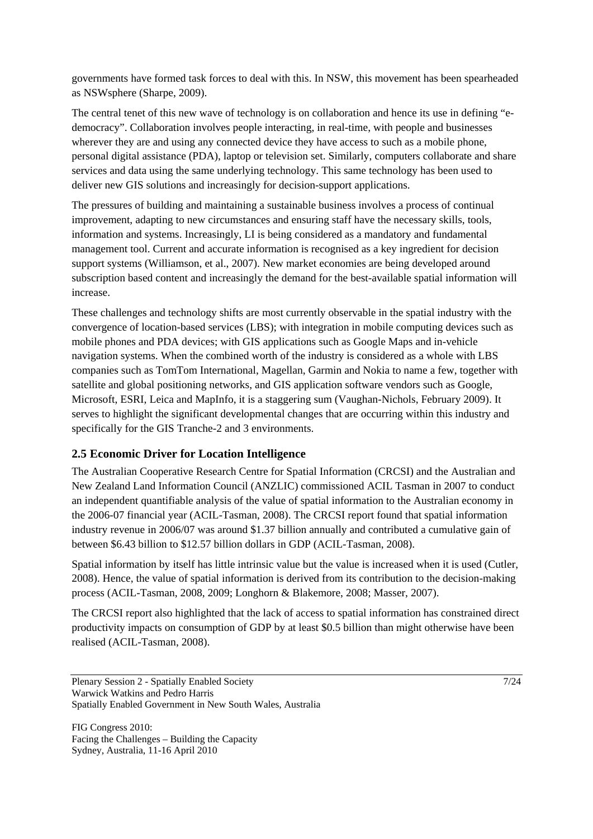governments have formed task forces to deal with this. In NSW, this movement has been spearheaded as NSWsphere (Sharpe, 2009).

The central tenet of this new wave of technology is on collaboration and hence its use in defining "edemocracy". Collaboration involves people interacting, in real-time, with people and businesses wherever they are and using any connected device they have access to such as a mobile phone, personal digital assistance (PDA), laptop or television set. Similarly, computers collaborate and share services and data using the same underlying technology. This same technology has been used to deliver new GIS solutions and increasingly for decision-support applications.

The pressures of building and maintaining a sustainable business involves a process of continual improvement, adapting to new circumstances and ensuring staff have the necessary skills, tools, information and systems. Increasingly, LI is being considered as a mandatory and fundamental management tool. Current and accurate information is recognised as a key ingredient for decision support systems (Williamson, et al., 2007). New market economies are being developed around subscription based content and increasingly the demand for the best-available spatial information will increase.

These challenges and technology shifts are most currently observable in the spatial industry with the convergence of location-based services (LBS); with integration in mobile computing devices such as mobile phones and PDA devices; with GIS applications such as Google Maps and in-vehicle navigation systems. When the combined worth of the industry is considered as a whole with LBS companies such as TomTom International, Magellan, Garmin and Nokia to name a few, together with satellite and global positioning networks, and GIS application software vendors such as Google, Microsoft, ESRI, Leica and MapInfo, it is a staggering sum (Vaughan-Nichols, February 2009). It serves to highlight the significant developmental changes that are occurring within this industry and specifically for the GIS Tranche-2 and 3 environments.

### **2.5 Economic Driver for Location Intelligence**

The Australian Cooperative Research Centre for Spatial Information (CRCSI) and the Australian and New Zealand Land Information Council (ANZLIC) commissioned ACIL Tasman in 2007 to conduct an independent quantifiable analysis of the value of spatial information to the Australian economy in the 2006-07 financial year (ACIL-Tasman, 2008). The CRCSI report found that spatial information industry revenue in 2006/07 was around \$1.37 billion annually and contributed a cumulative gain of between \$6.43 billion to \$12.57 billion dollars in GDP (ACIL-Tasman, 2008).

Spatial information by itself has little intrinsic value but the value is increased when it is used (Cutler, 2008). Hence, the value of spatial information is derived from its contribution to the decision-making process (ACIL-Tasman, 2008, 2009; Longhorn & Blakemore, 2008; Masser, 2007).

The CRCSI report also highlighted that the lack of access to spatial information has constrained direct productivity impacts on consumption of GDP by at least \$0.5 billion than might otherwise have been realised (ACIL-Tasman, 2008).

Plenary Session 2 - Spatially Enabled Society 7/24 Warwick Watkins and Pedro Harris Spatially Enabled Government in New South Wales, Australia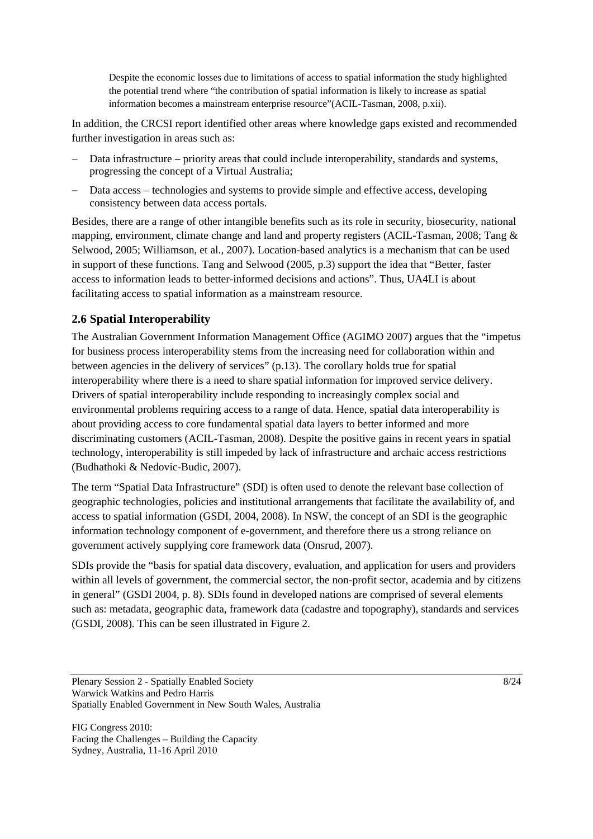Despite the economic losses due to limitations of access to spatial information the study highlighted the potential trend where "the contribution of spatial information is likely to increase as spatial information becomes a mainstream enterprise resource"(ACIL-Tasman, 2008, p.xii).

In addition, the CRCSI report identified other areas where knowledge gaps existed and recommended further investigation in areas such as:

- Data infrastructure priority areas that could include interoperability, standards and systems, progressing the concept of a Virtual Australia;
- Data access technologies and systems to provide simple and effective access, developing consistency between data access portals.

Besides, there are a range of other intangible benefits such as its role in security, biosecurity, national mapping, environment, climate change and land and property registers (ACIL-Tasman, 2008; Tang & Selwood, 2005; Williamson, et al., 2007). Location-based analytics is a mechanism that can be used in support of these functions. Tang and Selwood (2005, p.3) support the idea that "Better, faster access to information leads to better-informed decisions and actions". Thus, UA4LI is about facilitating access to spatial information as a mainstream resource.

## **2.6 Spatial Interoperability**

The Australian Government Information Management Office (AGIMO 2007) argues that the "impetus for business process interoperability stems from the increasing need for collaboration within and between agencies in the delivery of services" (p.13). The corollary holds true for spatial interoperability where there is a need to share spatial information for improved service delivery. Drivers of spatial interoperability include responding to increasingly complex social and environmental problems requiring access to a range of data. Hence, spatial data interoperability is about providing access to core fundamental spatial data layers to better informed and more discriminating customers (ACIL-Tasman, 2008). Despite the positive gains in recent years in spatial technology, interoperability is still impeded by lack of infrastructure and archaic access restrictions (Budhathoki & Nedovic-Budic, 2007).

The term "Spatial Data Infrastructure" (SDI) is often used to denote the relevant base collection of geographic technologies, policies and institutional arrangements that facilitate the availability of, and access to spatial information (GSDI, 2004, 2008). In NSW, the concept of an SDI is the geographic information technology component of e-government, and therefore there us a strong reliance on government actively supplying core framework data (Onsrud, 2007).

SDIs provide the "basis for spatial data discovery, evaluation, and application for users and providers within all levels of government, the commercial sector, the non-profit sector, academia and by citizens in general" (GSDI 2004, p. 8). SDIs found in developed nations are comprised of several elements such as: metadata, geographic data, framework data (cadastre and topography), standards and services (GSDI, 2008). This can be seen illustrated in Figure 2.

Plenary Session 2 - Spatially Enabled Society 8/24 Warwick Watkins and Pedro Harris Spatially Enabled Government in New South Wales, Australia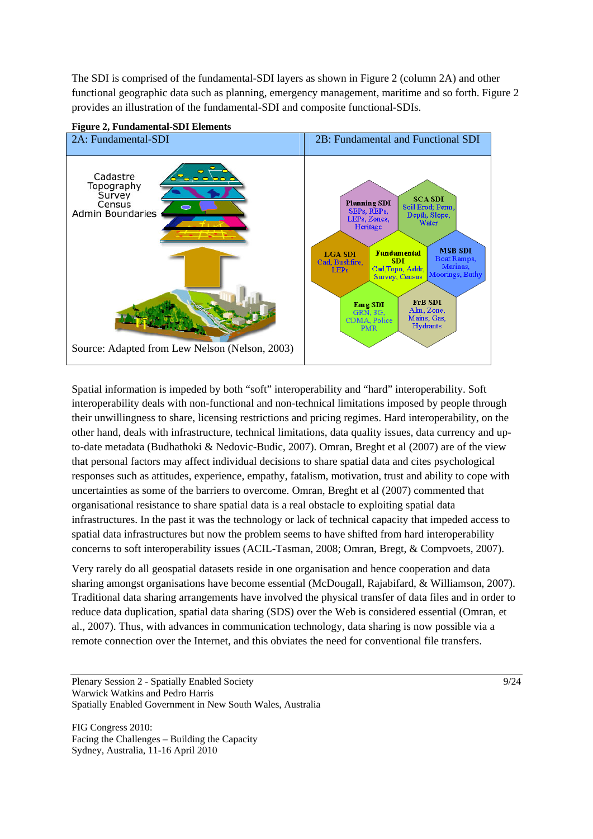The SDI is comprised of the fundamental-SDI layers as shown in Figure 2 (column 2A) and other functional geographic data such as planning, emergency management, maritime and so forth. Figure 2 provides an illustration of the fundamental-SDI and composite functional-SDIs.



**Figure 2, Fundamental-SDI Elements** 

Spatial information is impeded by both "soft" interoperability and "hard" interoperability. Soft interoperability deals with non-functional and non-technical limitations imposed by people through their unwillingness to share, licensing restrictions and pricing regimes. Hard interoperability, on the other hand, deals with infrastructure, technical limitations, data quality issues, data currency and upto-date metadata (Budhathoki & Nedovic-Budic, 2007). Omran, Breght et al (2007) are of the view that personal factors may affect individual decisions to share spatial data and cites psychological responses such as attitudes, experience, empathy, fatalism, motivation, trust and ability to cope with uncertainties as some of the barriers to overcome. Omran, Breght et al (2007) commented that organisational resistance to share spatial data is a real obstacle to exploiting spatial data infrastructures. In the past it was the technology or lack of technical capacity that impeded access to spatial data infrastructures but now the problem seems to have shifted from hard interoperability concerns to soft interoperability issues (ACIL-Tasman, 2008; Omran, Bregt, & Compvoets, 2007).

Very rarely do all geospatial datasets reside in one organisation and hence cooperation and data sharing amongst organisations have become essential (McDougall, Rajabifard, & Williamson, 2007). Traditional data sharing arrangements have involved the physical transfer of data files and in order to reduce data duplication, spatial data sharing (SDS) over the Web is considered essential (Omran, et al., 2007). Thus, with advances in communication technology, data sharing is now possible via a remote connection over the Internet, and this obviates the need for conventional file transfers.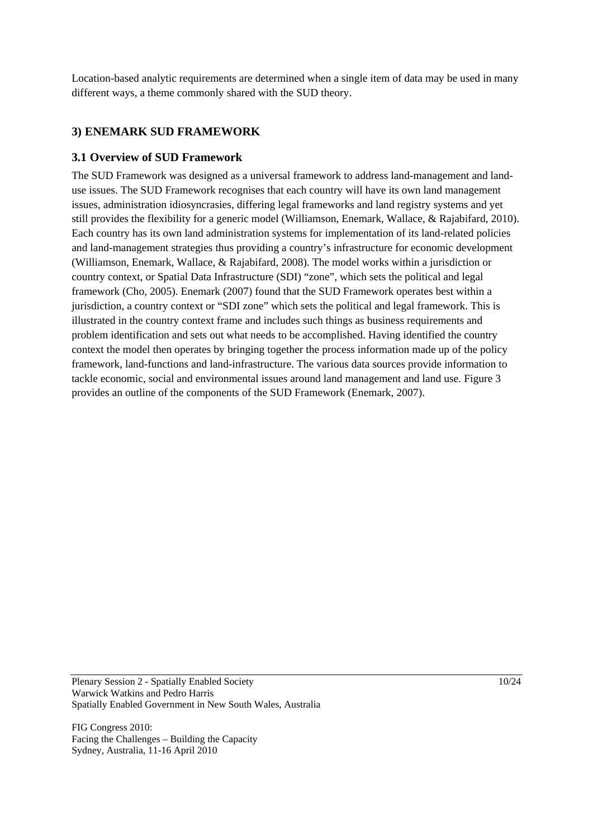Location-based analytic requirements are determined when a single item of data may be used in many different ways, a theme commonly shared with the SUD theory.

## **3) ENEMARK SUD FRAMEWORK**

#### **3.1 Overview of SUD Framework**

The SUD Framework was designed as a universal framework to address land-management and landuse issues. The SUD Framework recognises that each country will have its own land management issues, administration idiosyncrasies, differing legal frameworks and land registry systems and yet still provides the flexibility for a generic model (Williamson, Enemark, Wallace, & Rajabifard, 2010). Each country has its own land administration systems for implementation of its land-related policies and land-management strategies thus providing a country's infrastructure for economic development (Williamson, Enemark, Wallace, & Rajabifard, 2008). The model works within a jurisdiction or country context, or Spatial Data Infrastructure (SDI) "zone", which sets the political and legal framework (Cho, 2005). Enemark (2007) found that the SUD Framework operates best within a jurisdiction, a country context or "SDI zone" which sets the political and legal framework. This is illustrated in the country context frame and includes such things as business requirements and problem identification and sets out what needs to be accomplished. Having identified the country context the model then operates by bringing together the process information made up of the policy framework, land-functions and land-infrastructure. The various data sources provide information to tackle economic, social and environmental issues around land management and land use. Figure 3 provides an outline of the components of the SUD Framework (Enemark, 2007).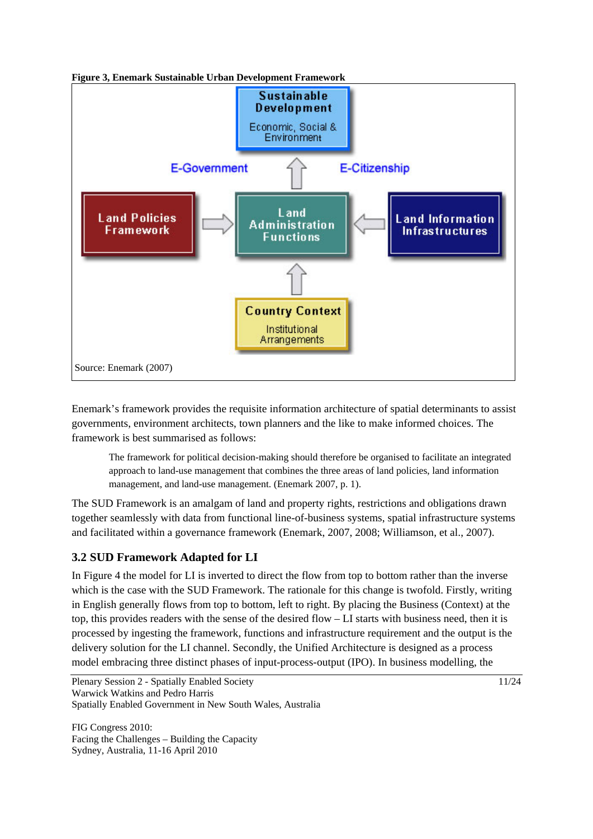

Enemark's framework provides the requisite information architecture of spatial determinants to assist governments, environment architects, town planners and the like to make informed choices. The framework is best summarised as follows:

The framework for political decision-making should therefore be organised to facilitate an integrated approach to land-use management that combines the three areas of land policies, land information management, and land-use management. (Enemark 2007, p. 1).

The SUD Framework is an amalgam of land and property rights, restrictions and obligations drawn together seamlessly with data from functional line-of-business systems, spatial infrastructure systems and facilitated within a governance framework (Enemark, 2007, 2008; Williamson, et al., 2007).

## **3.2 SUD Framework Adapted for LI**

In Figure 4 the model for LI is inverted to direct the flow from top to bottom rather than the inverse which is the case with the SUD Framework. The rationale for this change is twofold. Firstly, writing in English generally flows from top to bottom, left to right. By placing the Business (Context) at the top, this provides readers with the sense of the desired flow – LI starts with business need, then it is processed by ingesting the framework, functions and infrastructure requirement and the output is the delivery solution for the LI channel. Secondly, the Unified Architecture is designed as a process model embracing three distinct phases of input-process-output (IPO). In business modelling, the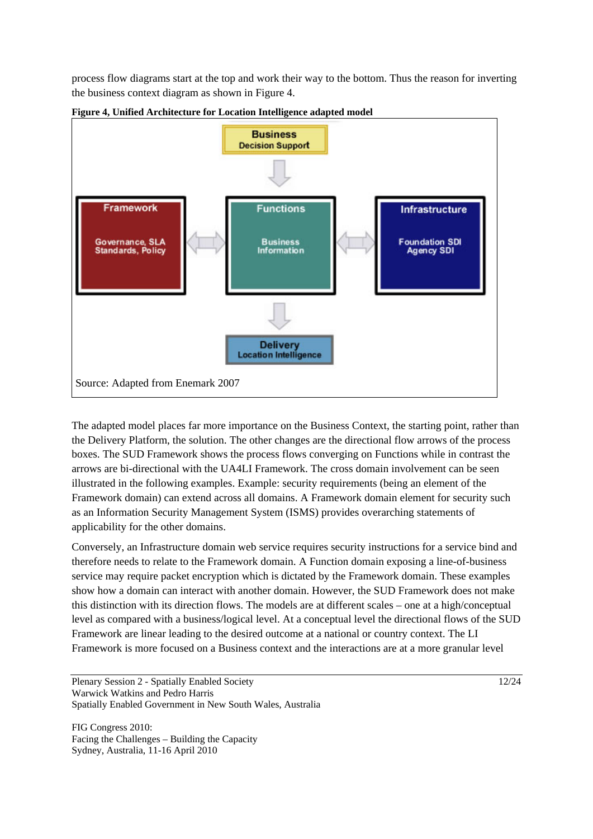process flow diagrams start at the top and work their way to the bottom. Thus the reason for inverting the business context diagram as shown in Figure 4.



**Figure 4, Unified Architecture for Location Intelligence adapted model** 

The adapted model places far more importance on the Business Context, the starting point, rather than the Delivery Platform, the solution. The other changes are the directional flow arrows of the process boxes. The SUD Framework shows the process flows converging on Functions while in contrast the arrows are bi-directional with the UA4LI Framework. The cross domain involvement can be seen illustrated in the following examples. Example: security requirements (being an element of the Framework domain) can extend across all domains. A Framework domain element for security such as an Information Security Management System (ISMS) provides overarching statements of applicability for the other domains.

Conversely, an Infrastructure domain web service requires security instructions for a service bind and therefore needs to relate to the Framework domain. A Function domain exposing a line-of-business service may require packet encryption which is dictated by the Framework domain. These examples show how a domain can interact with another domain. However, the SUD Framework does not make this distinction with its direction flows. The models are at different scales – one at a high/conceptual level as compared with a business/logical level. At a conceptual level the directional flows of the SUD Framework are linear leading to the desired outcome at a national or country context. The LI Framework is more focused on a Business context and the interactions are at a more granular level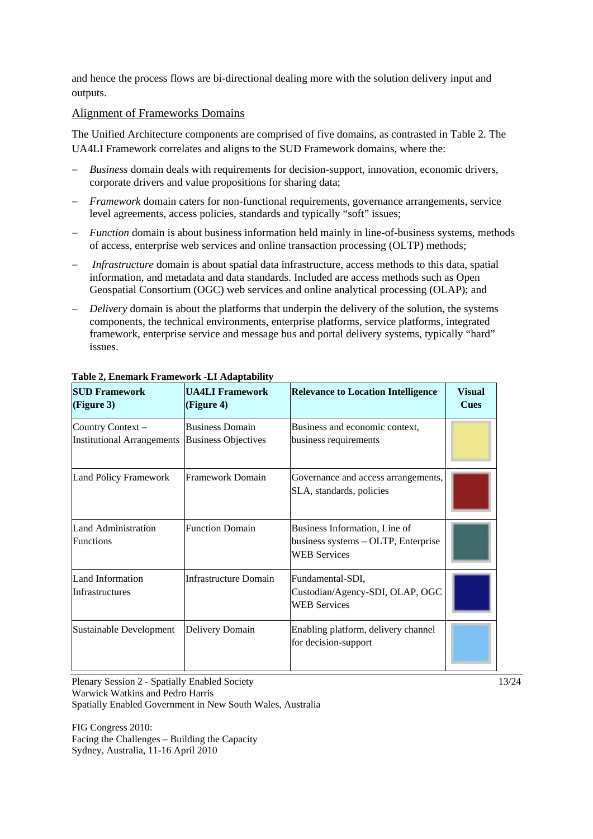and hence the process flows are bi-directional dealing more with the solution delivery input and outputs.

#### Alignment of Frameworks Domains

The Unified Architecture components are comprised of five domains, as contrasted in Table 2. The UA4LI Framework correlates and aligns to the SUD Framework domains, where the:

- *Business* domain deals with requirements for decision-support, innovation, economic drivers, corporate drivers and value propositions for sharing data;
- *Framework* domain caters for non-functional requirements, governance arrangements, service level agreements, access policies, standards and typically "soft" issues;
- *Function* domain is about business information held mainly in line-of-business systems, methods of access, enterprise web services and online transaction processing (OLTP) methods;
- *Infrastructure* domain is about spatial data infrastructure, access methods to this data, spatial information, and metadata and data standards. Included are access methods such as Open Geospatial Consortium (OGC) web services and online analytical processing (OLAP); and
- *Delivery* domain is about the platforms that underpin the delivery of the solution, the systems components, the technical environments, enterprise platforms, service platforms, integrated framework, enterprise service and message bus and portal delivery systems, typically "hard" issues.

| <b>SUD Framework</b><br>(Figure 3)                    | <b>UA4LI Framework</b><br>(Figure 4)                 | <b>Relevance to Location Intelligence</b>                                                   | <b>Visual</b><br><b>Cues</b> |
|-------------------------------------------------------|------------------------------------------------------|---------------------------------------------------------------------------------------------|------------------------------|
| Country Context-<br><b>Institutional Arrangements</b> | <b>Business Domain</b><br><b>Business Objectives</b> | Business and economic context,<br>business requirements                                     |                              |
| <b>Land Policy Framework</b>                          | Framework Domain                                     | Governance and access arrangements,<br>SLA, standards, policies                             |                              |
| <b>Land Administration</b><br><b>Functions</b>        | <b>Function Domain</b>                               | Business Information, Line of<br>business systems - OLTP, Enterprise<br><b>WEB</b> Services |                              |
| Land Information<br>Infrastructures                   | <b>Infrastructure Domain</b>                         | Fundamental-SDI,<br>Custodian/Agency-SDI, OLAP, OGC<br><b>WEB</b> Services                  |                              |
| Sustainable Development                               | Delivery Domain                                      | Enabling platform, delivery channel<br>for decision-support                                 |                              |

#### **Table 2, Enemark Framework -LI Adaptability**

Plenary Session 2 - Spatially Enabled Society 13/24 Warwick Watkins and Pedro Harris Spatially Enabled Government in New South Wales, Australia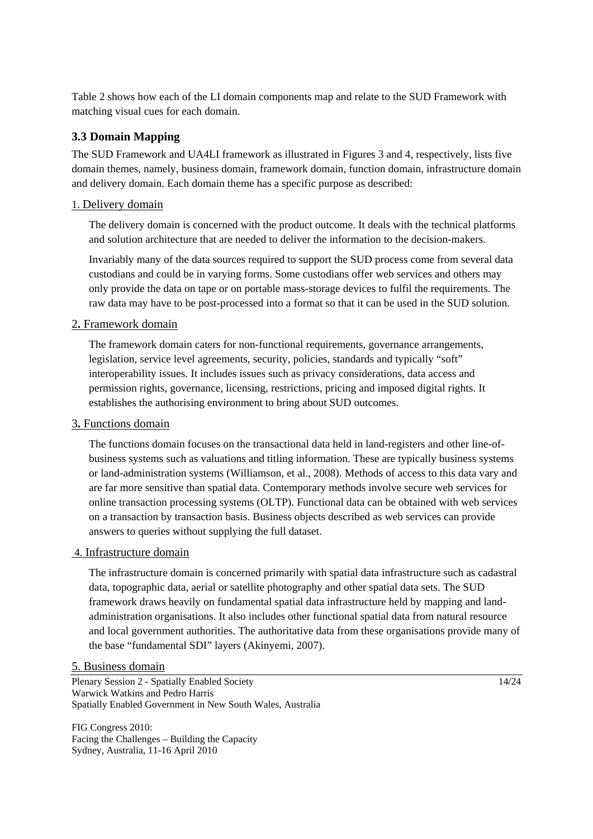Table 2 shows how each of the LI domain components map and relate to the SUD Framework with matching visual cues for each domain.

## **3.3 Domain Mapping**

The SUD Framework and UA4LI framework as illustrated in Figures 3 and 4, respectively, lists five domain themes, namely, business domain, framework domain, function domain, infrastructure domain and delivery domain. Each domain theme has a specific purpose as described:

#### 1. Delivery domain

The delivery domain is concerned with the product outcome. It deals with the technical platforms and solution architecture that are needed to deliver the information to the decision-makers.

Invariably many of the data sources required to support the SUD process come from several data custodians and could be in varying forms. Some custodians offer web services and others may only provide the data on tape or on portable mass-storage devices to fulfil the requirements. The raw data may have to be post-processed into a format so that it can be used in the SUD solution.

#### 2**.** Framework domain

The framework domain caters for non-functional requirements, governance arrangements, legislation, service level agreements, security, policies, standards and typically "soft" interoperability issues. It includes issues such as privacy considerations, data access and permission rights, governance, licensing, restrictions, pricing and imposed digital rights. It establishes the authorising environment to bring about SUD outcomes.

#### 3**.** Functions domain

The functions domain focuses on the transactional data held in land-registers and other line-ofbusiness systems such as valuations and titling information. These are typically business systems or land-administration systems (Williamson, et al., 2008). Methods of access to this data vary and are far more sensitive than spatial data. Contemporary methods involve secure web services for online transaction processing systems (OLTP). Functional data can be obtained with web services on a transaction by transaction basis. Business objects described as web services can provide answers to queries without supplying the full dataset.

#### 4. Infrastructure domain

The infrastructure domain is concerned primarily with spatial data infrastructure such as cadastral data, topographic data, aerial or satellite photography and other spatial data sets. The SUD framework draws heavily on fundamental spatial data infrastructure held by mapping and landadministration organisations. It also includes other functional spatial data from natural resource and local government authorities. The authoritative data from these organisations provide many of the base "fundamental SDI" layers (Akinyemi, 2007).

#### 5. Business domain

Plenary Session 2 - Spatially Enabled Society 14/24 Warwick Watkins and Pedro Harris Spatially Enabled Government in New South Wales, Australia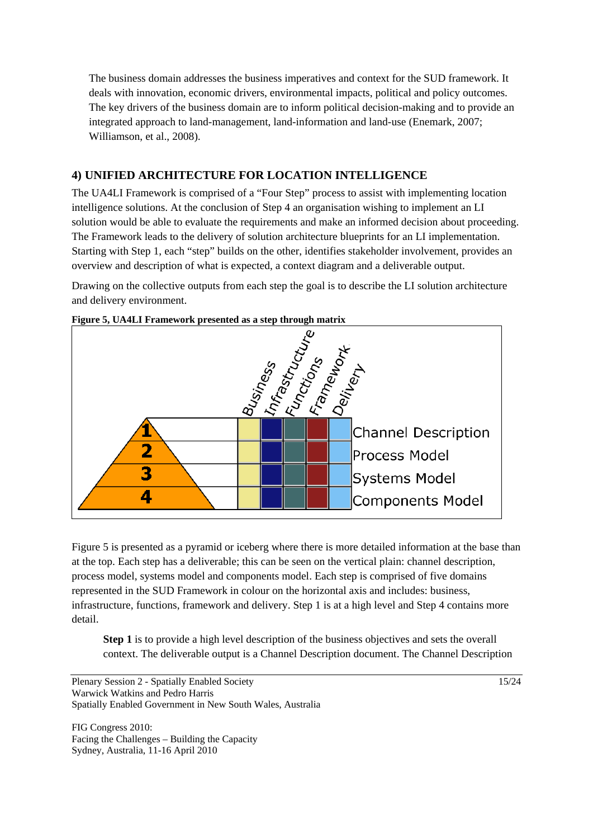The business domain addresses the business imperatives and context for the SUD framework. It deals with innovation, economic drivers, environmental impacts, political and policy outcomes. The key drivers of the business domain are to inform political decision-making and to provide an integrated approach to land-management, land-information and land-use (Enemark, 2007; Williamson, et al., 2008).

## **4) UNIFIED ARCHITECTURE FOR LOCATION INTELLIGENCE**

The UA4LI Framework is comprised of a "Four Step" process to assist with implementing location intelligence solutions. At the conclusion of Step 4 an organisation wishing to implement an LI solution would be able to evaluate the requirements and make an informed decision about proceeding. The Framework leads to the delivery of solution architecture blueprints for an LI implementation. Starting with Step 1, each "step" builds on the other, identifies stakeholder involvement, provides an overview and description of what is expected, a context diagram and a deliverable output.

Drawing on the collective outputs from each step the goal is to describe the LI solution architecture and delivery environment.



**Figure 5, UA4LI Framework presented as a step through matrix** 

Figure 5 is presented as a pyramid or iceberg where there is more detailed information at the base than at the top. Each step has a deliverable; this can be seen on the vertical plain: channel description, process model, systems model and components model. Each step is comprised of five domains represented in the SUD Framework in colour on the horizontal axis and includes: business, infrastructure, functions, framework and delivery. Step 1 is at a high level and Step 4 contains more detail.

**Step 1** is to provide a high level description of the business objectives and sets the overall context. The deliverable output is a Channel Description document. The Channel Description

```
Plenary Session 2 - Spatially Enabled Society 15/24 
Warwick Watkins and Pedro Harris 
Spatially Enabled Government in New South Wales, Australia
```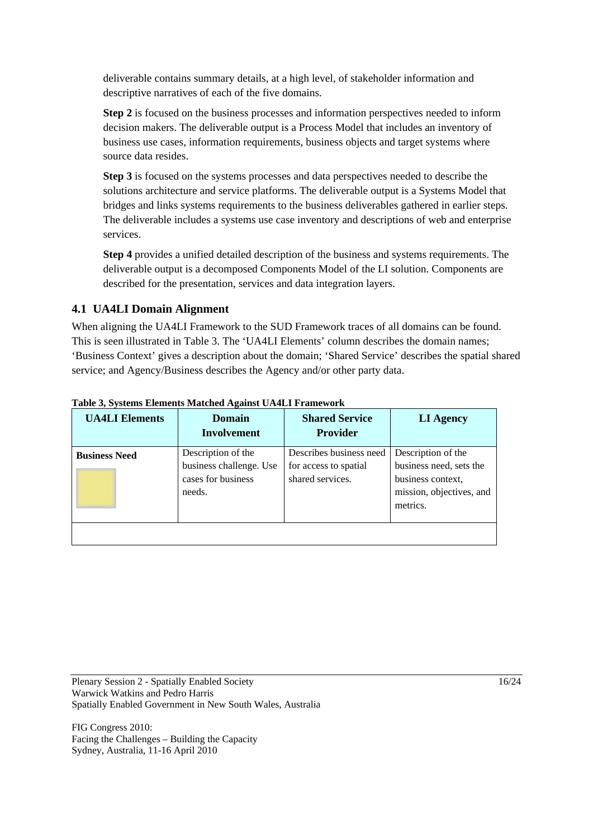deliverable contains summary details, at a high level, of stakeholder information and descriptive narratives of each of the five domains.

**Step 2** is focused on the business processes and information perspectives needed to inform decision makers. The deliverable output is a Process Model that includes an inventory of business use cases, information requirements, business objects and target systems where source data resides.

**Step 3** is focused on the systems processes and data perspectives needed to describe the solutions architecture and service platforms. The deliverable output is a Systems Model that bridges and links systems requirements to the business deliverables gathered in earlier steps. The deliverable includes a systems use case inventory and descriptions of web and enterprise services.

**Step 4** provides a unified detailed description of the business and systems requirements. The deliverable output is a decomposed Components Model of the LI solution. Components are described for the presentation, services and data integration layers.

## **4.1 UA4LI Domain Alignment**

When aligning the UA4LI Framework to the SUD Framework traces of all domains can be found. This is seen illustrated in Table 3. The 'UA4LI Elements' column describes the domain names; 'Business Context' gives a description about the domain; 'Shared Service' describes the spatial shared service; and Agency/Business describes the Agency and/or other party data.

| <b>UA4LI</b> Elements | <b>Domain</b><br><b>Involvement</b>                                           | <b>Shared Service</b><br><b>Provider</b>                             | <b>LI Agency</b>                                                                                           |
|-----------------------|-------------------------------------------------------------------------------|----------------------------------------------------------------------|------------------------------------------------------------------------------------------------------------|
| <b>Business Need</b>  | Description of the<br>business challenge. Use<br>cases for business<br>needs. | Describes business need<br>for access to spatial<br>shared services. | Description of the<br>business need, sets the<br>business context,<br>mission, objectives, and<br>metrics. |

#### **Table 3, Systems Elements Matched Against UA4LI Framework**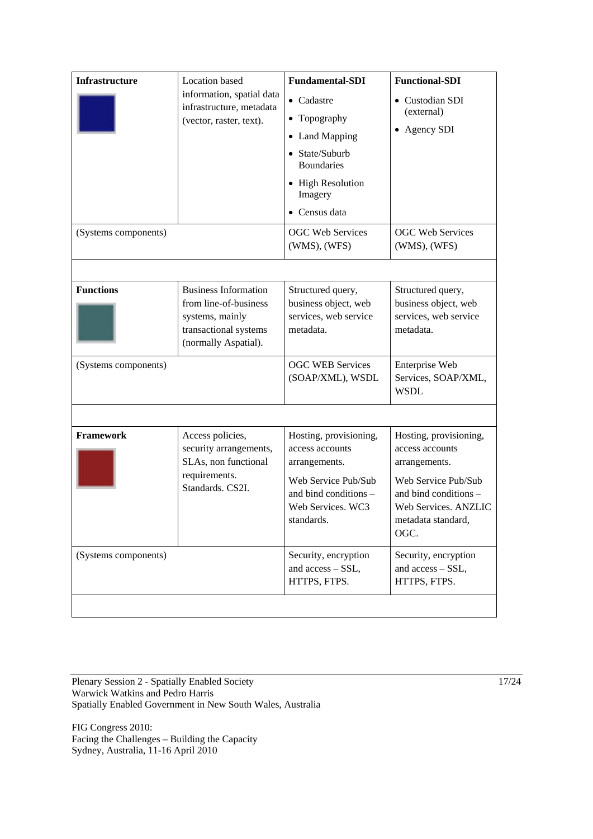| <b>Infrastructure</b> | <b>Location</b> based                                                                                                    | <b>Fundamental-SDI</b>                                                                                                                        | <b>Functional-SDI</b>                                                                                                                                            |
|-----------------------|--------------------------------------------------------------------------------------------------------------------------|-----------------------------------------------------------------------------------------------------------------------------------------------|------------------------------------------------------------------------------------------------------------------------------------------------------------------|
|                       | information, spatial data<br>infrastructure, metadata<br>(vector, raster, text).                                         | $\bullet$ Cadastre<br>• Topography<br>• Land Mapping<br>• State/Suburb<br><b>Boundaries</b><br>• High Resolution<br>Imagery<br>• Census data  | Custodian SDI<br>(external)<br>• Agency SDI                                                                                                                      |
| (Systems components)  |                                                                                                                          | <b>OGC Web Services</b><br>$(WMS)$ , $(WFS)$                                                                                                  | <b>OGC Web Services</b><br>$(WMS)$ , $(WFS)$                                                                                                                     |
| <b>Functions</b>      | <b>Business Information</b><br>from line-of-business<br>systems, mainly<br>transactional systems<br>(normally Aspatial). | Structured query,<br>business object, web<br>services, web service<br>metadata.                                                               | Structured query,<br>business object, web<br>services, web service<br>metadata.                                                                                  |
| (Systems components)  |                                                                                                                          | <b>OGC WEB Services</b><br>(SOAP/XML), WSDL                                                                                                   | Enterprise Web<br>Services, SOAP/XML,<br><b>WSDL</b>                                                                                                             |
|                       |                                                                                                                          |                                                                                                                                               |                                                                                                                                                                  |
| <b>Framework</b>      | Access policies,<br>security arrangements,<br>SLAs, non functional<br>requirements.<br>Standards. CS2I.                  | Hosting, provisioning,<br>access accounts<br>arrangements.<br>Web Service Pub/Sub<br>and bind conditions -<br>Web Services. WC3<br>standards. | Hosting, provisioning,<br>access accounts<br>arrangements.<br>Web Service Pub/Sub<br>and bind conditions -<br>Web Services. ANZLIC<br>metadata standard,<br>OGC. |
| (Systems components)  |                                                                                                                          | Security, encryption<br>and access - SSL,<br>HTTPS, FTPS.                                                                                     | Security, encryption<br>and access - SSL,<br>HTTPS, FTPS.                                                                                                        |
|                       |                                                                                                                          |                                                                                                                                               |                                                                                                                                                                  |

Plenary Session 2 - Spatially Enabled Society 17/24 Warwick Watkins and Pedro Harris Spatially Enabled Government in New South Wales, Australia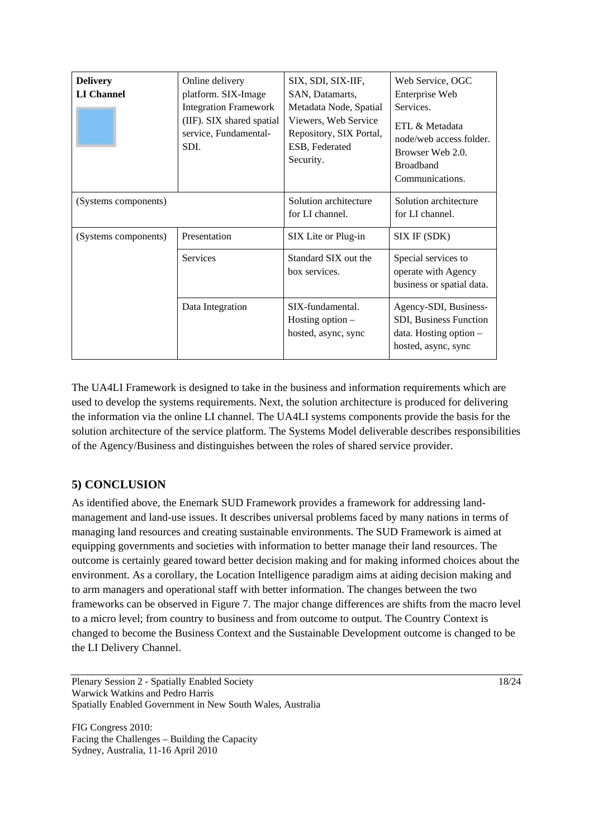| <b>Delivery</b><br><b>LI</b> Channel | Online delivery<br>platform. SIX-Image<br><b>Integration Framework</b><br>(IIF). SIX shared spatial<br>service, Fundamental-<br>SDI. | SIX, SDI, SIX-IIF,<br>SAN, Datamarts,<br>Metadata Node, Spatial<br>Viewers, Web Service<br>Repository, SIX Portal,<br>ESB, Federated<br>Security. | Web Service, OGC<br>Enterprise Web<br>Services.<br>ETL & Metadata<br>node/web access folder.<br>Browser Web 2.0.<br><b>Broadband</b><br>Communications. |
|--------------------------------------|--------------------------------------------------------------------------------------------------------------------------------------|---------------------------------------------------------------------------------------------------------------------------------------------------|---------------------------------------------------------------------------------------------------------------------------------------------------------|
| (Systems components)                 |                                                                                                                                      | Solution architecture<br>for LI channel.                                                                                                          | Solution architecture<br>for LI channel.                                                                                                                |
| (Systems components)                 | Presentation                                                                                                                         | SIX Lite or Plug-in                                                                                                                               | SIX IF (SDK)                                                                                                                                            |
|                                      | <b>Services</b>                                                                                                                      | Standard SIX out the<br>box services.                                                                                                             | Special services to<br>operate with Agency<br>business or spatial data.                                                                                 |
|                                      | Data Integration                                                                                                                     | SIX-fundamental.<br>Hosting option -<br>hosted, async, sync                                                                                       | Agency-SDI, Business-<br>SDI, Business Function<br>data. Hosting option $-$<br>hosted, async, sync                                                      |

The UA4LI Framework is designed to take in the business and information requirements which are used to develop the systems requirements. Next, the solution architecture is produced for delivering the information via the online LI channel. The UA4LI systems components provide the basis for the solution architecture of the service platform. The Systems Model deliverable describes responsibilities of the Agency/Business and distinguishes between the roles of shared service provider.

## **5) CONCLUSION**

As identified above, the Enemark SUD Framework provides a framework for addressing landmanagement and land-use issues. It describes universal problems faced by many nations in terms of managing land resources and creating sustainable environments. The SUD Framework is aimed at equipping governments and societies with information to better manage their land resources. The outcome is certainly geared toward better decision making and for making informed choices about the environment. As a corollary, the Location Intelligence paradigm aims at aiding decision making and to arm managers and operational staff with better information. The changes between the two frameworks can be observed in Figure 7. The major change differences are shifts from the macro level to a micro level; from country to business and from outcome to output. The Country Context is changed to become the Business Context and the Sustainable Development outcome is changed to be the LI Delivery Channel.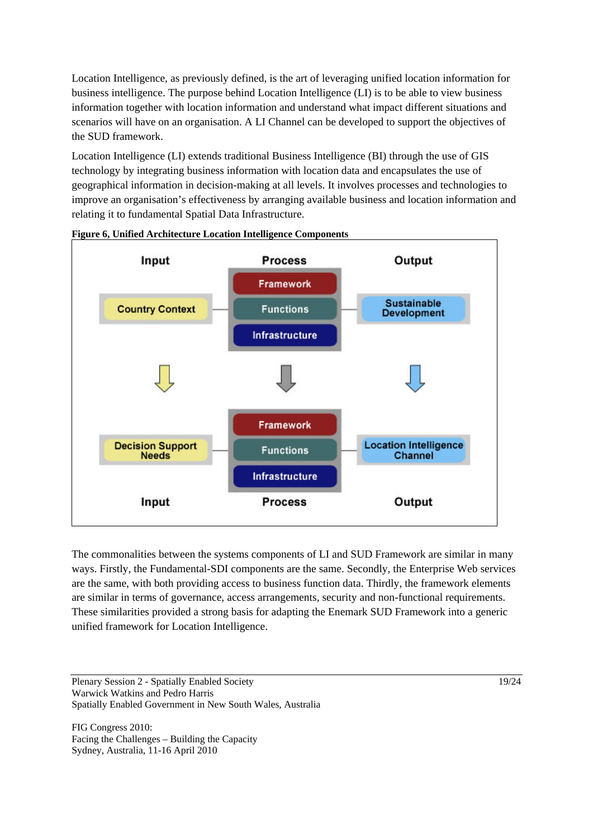Location Intelligence, as previously defined, is the art of leveraging unified location information for business intelligence. The purpose behind Location Intelligence (LI) is to be able to view business information together with location information and understand what impact different situations and scenarios will have on an organisation. A LI Channel can be developed to support the objectives of the SUD framework.

Location Intelligence (LI) extends traditional Business Intelligence (BI) through the use of GIS technology by integrating business information with location data and encapsulates the use of geographical information in decision-making at all levels. It involves processes and technologies to improve an organisation's effectiveness by arranging available business and location information and relating it to fundamental Spatial Data Infrastructure.



#### **Figure 6, Unified Architecture Location Intelligence Components**

The commonalities between the systems components of LI and SUD Framework are similar in many ways. Firstly, the Fundamental-SDI components are the same. Secondly, the Enterprise Web services are the same, with both providing access to business function data. Thirdly, the framework elements are similar in terms of governance, access arrangements, security and non-functional requirements. These similarities provided a strong basis for adapting the Enemark SUD Framework into a generic unified framework for Location Intelligence.

Plenary Session 2 - Spatially Enabled Society 19/24 Warwick Watkins and Pedro Harris Spatially Enabled Government in New South Wales, Australia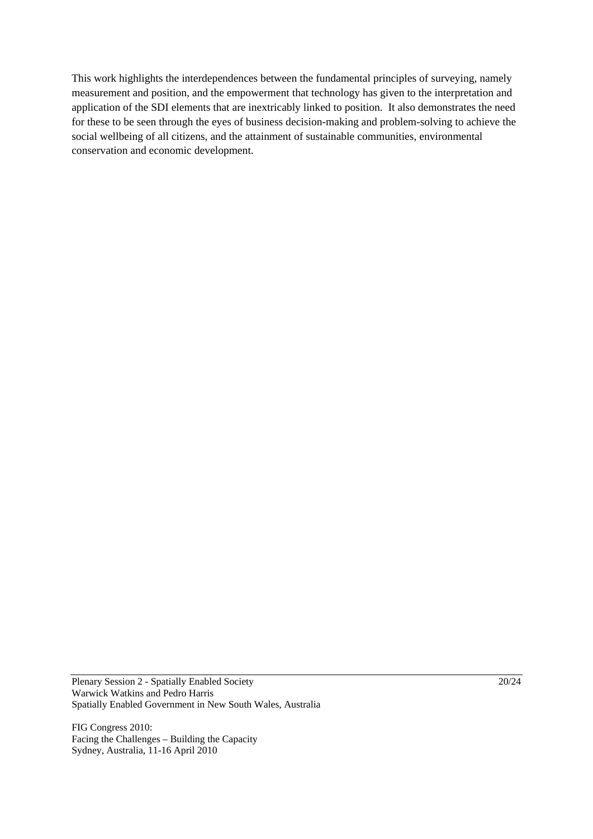This work highlights the interdependences between the fundamental principles of surveying, namely measurement and position, and the empowerment that technology has given to the interpretation and application of the SDI elements that are inextricably linked to position. It also demonstrates the need for these to be seen through the eyes of business decision-making and problem-solving to achieve the social wellbeing of all citizens, and the attainment of sustainable communities, environmental conservation and economic development.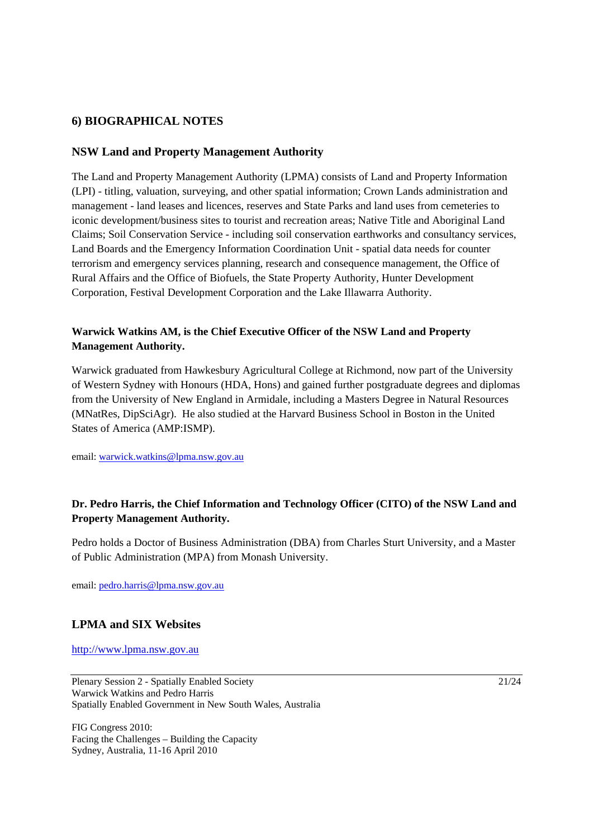## **6) BIOGRAPHICAL NOTES**

#### **NSW Land and Property Management Authority**

The Land and Property Management Authority (LPMA) consists of Land and Property Information (LPI) - titling, valuation, surveying, and other spatial information; Crown Lands administration and management - land leases and licences, reserves and State Parks and land uses from cemeteries to iconic development/business sites to tourist and recreation areas; Native Title and Aboriginal Land Claims; Soil Conservation Service - including soil conservation earthworks and consultancy services, Land Boards and the Emergency Information Coordination Unit - spatial data needs for counter terrorism and emergency services planning, research and consequence management, the Office of Rural Affairs and the Office of Biofuels, the State Property Authority, Hunter Development Corporation, Festival Development Corporation and the Lake Illawarra Authority.

## **Warwick Watkins AM, is the Chief Executive Officer of the NSW Land and Property Management Authority.**

Warwick graduated from Hawkesbury Agricultural College at Richmond, now part of the University of Western Sydney with Honours (HDA, Hons) and gained further postgraduate degrees and diplomas from the University of New England in Armidale, including a Masters Degree in Natural Resources (MNatRes, DipSciAgr). He also studied at the Harvard Business School in Boston in the United States of America (AMP:ISMP).

email: warwick.watkins@lpma.nsw.gov.au

## **Dr. Pedro Harris, the Chief Information and Technology Officer (CITO) of the NSW Land and Property Management Authority.**

Pedro holds a Doctor of Business Administration (DBA) from Charles Sturt University, and a Master of Public Administration (MPA) from Monash University.

email: pedro.harris@lpma.nsw.gov.au

### **LPMA and SIX Websites**

http://www.lpma.nsw.gov.au

Plenary Session 2 - Spatially Enabled Society 21/24 Warwick Watkins and Pedro Harris Spatially Enabled Government in New South Wales, Australia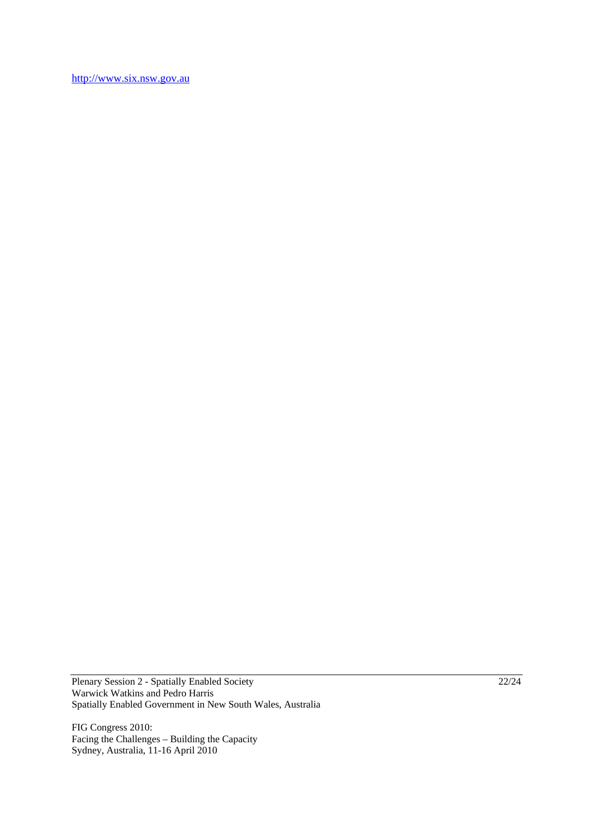http://www.six.nsw.gov.au

Plenary Session 2 - Spatially Enabled Society 22/24 Warwick Watkins and Pedro Harris Spatially Enabled Government in New South Wales, Australia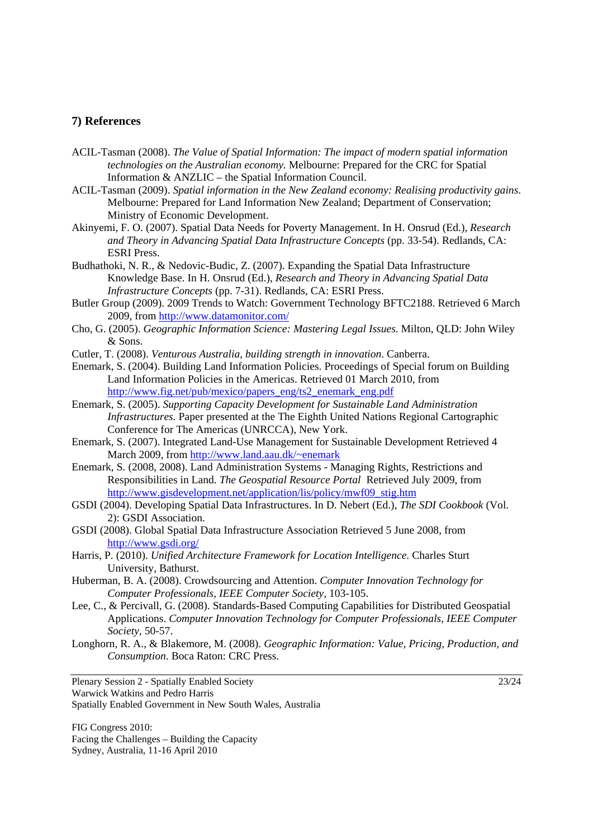#### **7) References**

- ACIL-Tasman (2008). *The Value of Spatial Information: The impact of modern spatial information technologies on the Australian economy*. Melbourne: Prepared for the CRC for Spatial Information & ANZLIC – the Spatial Information Council.
- ACIL-Tasman (2009). *Spatial information in the New Zealand economy: Realising productivity gains*. Melbourne: Prepared for Land Information New Zealand; Department of Conservation; Ministry of Economic Development.
- Akinyemi, F. O. (2007). Spatial Data Needs for Poverty Management. In H. Onsrud (Ed.), *Research and Theory in Advancing Spatial Data Infrastructure Concepts* (pp. 33-54). Redlands, CA: ESRI Press.
- Budhathoki, N. R., & Nedovic-Budic, Z. (2007). Expanding the Spatial Data Infrastructure Knowledge Base. In H. Onsrud (Ed.), *Research and Theory in Advancing Spatial Data Infrastructure Concepts* (pp. 7-31). Redlands, CA: ESRI Press.
- Butler Group (2009). 2009 Trends to Watch: Government Technology BFTC2188. Retrieved 6 March 2009, from http://www.datamonitor.com/
- Cho, G. (2005). *Geographic Information Science: Mastering Legal Issues*. Milton, QLD: John Wiley & Sons.
- Cutler, T. (2008). *Venturous Australia, building strength in innovation*. Canberra.
- Enemark, S. (2004). Building Land Information Policies. Proceedings of Special forum on Building Land Information Policies in the Americas. Retrieved 01 March 2010, from http://www.fig.net/pub/mexico/papers\_eng/ts2\_enemark\_eng.pdf
- Enemark, S. (2005). *Supporting Capacity Development for Sustainable Land Administration Infrastructures.* Paper presented at the The Eighth United Nations Regional Cartographic Conference for The Americas (UNRCCA), New York.
- Enemark, S. (2007). Integrated Land-Use Management for Sustainable Development Retrieved 4 March 2009, from http://www.land.aau.dk/~enemark
- Enemark, S. (2008, 2008). Land Administration Systems Managing Rights, Restrictions and Responsibilities in Land. *The Geospatial Resource Portal* Retrieved July 2009, from http://www.gisdevelopment.net/application/lis/policy/mwf09\_stig.htm
- GSDI (2004). Developing Spatial Data Infrastructures. In D. Nebert (Ed.), *The SDI Cookbook* (Vol. 2): GSDI Association.
- GSDI (2008). Global Spatial Data Infrastructure Association Retrieved 5 June 2008, from http://www.gsdi.org/
- Harris, P. (2010). *Unified Architecture Framework for Location Intelligence.* Charles Sturt University, Bathurst.
- Huberman, B. A. (2008). Crowdsourcing and Attention. *Computer Innovation Technology for Computer Professionals, IEEE Computer Society,* 103-105.
- Lee, C., & Percivall, G. (2008). Standards-Based Computing Capabilities for Distributed Geospatial Applications. *Computer Innovation Technology for Computer Professionals, IEEE Computer Society,* 50-57.
- Longhorn, R. A., & Blakemore, M. (2008). *Geographic Information: Value, Pricing, Production, and Consumption*. Boca Raton: CRC Press.

Plenary Session 2 - Spatially Enabled Society 23/24 Warwick Watkins and Pedro Harris Spatially Enabled Government in New South Wales, Australia